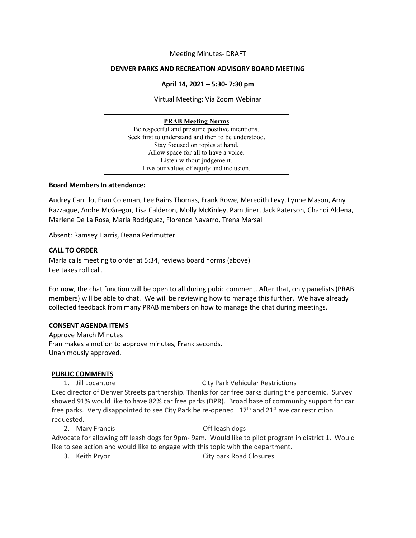## Meeting Minutes- DRAFT

## **DENVER PARKS AND RECREATION ADVISORY BOARD MEETING**

## **April 14, 2021 – 5:30- 7:30 pm**

Virtual Meeting: Via Zoom Webinar

### **PRAB Meeting Norms**

Be respectful and presume positive intentions. Seek first to understand and then to be understood. Stay focused on topics at hand. Allow space for all to have a voice. Listen without judgement. Live our values of equity and inclusion.

## **Board Members In attendance:**

Audrey Carrillo, Fran Coleman, Lee Rains Thomas, Frank Rowe, Meredith Levy, Lynne Mason, Amy Razzaque, Andre McGregor, Lisa Calderon, Molly McKinley, Pam Jiner, Jack Paterson, Chandi Aldena, Marlene De La Rosa, Marla Rodriguez, Florence Navarro, Trena Marsal

Absent: Ramsey Harris, Deana Perlmutter

# **CALL TO ORDER**

Marla calls meeting to order at 5:34, reviews board norms (above) Lee takes roll call.

For now, the chat function will be open to all during pubic comment. After that, only panelists (PRAB members) will be able to chat. We will be reviewing how to manage this further. We have already collected feedback from many PRAB members on how to manage the chat during meetings.

### **CONSENT AGENDA ITEMS**

Approve March Minutes Fran makes a motion to approve minutes, Frank seconds. Unanimously approved.

# **PUBLIC COMMENTS**

1. Jill Locantore City Park Vehicular Restrictions Exec director of Denver Streets partnership. Thanks for car free parks during the pandemic. Survey showed 91% would like to have 82% car free parks (DPR). Broad base of community support for car free parks. Very disappointed to see City Park be re-opened.  $17<sup>th</sup>$  and  $21<sup>st</sup>$  ave car restriction requested.

2. Mary Francis Off leash dogs Advocate for allowing off leash dogs for 9pm- 9am. Would like to pilot program in district 1. Would like to see action and would like to engage with this topic with the department.

3. Keith Pryor City park Road Closures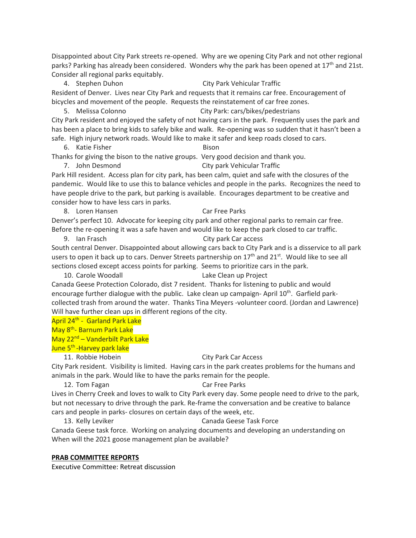Disappointed about City Park streets re-opened. Why are we opening City Park and not other regional parks? Parking has already been considered. Wonders why the park has been opened at 17<sup>th</sup> and 21st. Consider all regional parks equitably.

4. Stephen Duhon City Park Vehicular Traffic Resident of Denver. Lives near City Park and requests that it remains car free. Encouragement of bicycles and movement of the people. Requests the reinstatement of car free zones.

5. Melissa Colonno City Park: cars/bikes/pedestrians

City Park resident and enjoyed the safety of not having cars in the park. Frequently uses the park and has been a place to bring kids to safely bike and walk. Re-opening was so sudden that it hasn't been a safe. High injury network roads. Would like to make it safer and keep roads closed to cars.

6. Katie Fisher Bison

Thanks for giving the bison to the native groups. Very good decision and thank you. 7. John Desmond City park Vehicular Traffic

Park Hill resident. Access plan for city park, has been calm, quiet and safe with the closures of the pandemic. Would like to use this to balance vehicles and people in the parks. Recognizes the need to have people drive to the park, but parking is available. Encourages department to be creative and consider how to have less cars in parks.

8. Loren Hansen Car Free Parks

Denver's perfect 10. Advocate for keeping city park and other regional parks to remain car free.

Before the re-opening it was a safe haven and would like to keep the park closed to car traffic.

9. Ian Frasch City park Car access South central Denver. Disappointed about allowing cars back to City Park and is a disservice to all park users to open it back up to cars. Denver Streets partnership on 17<sup>th</sup> and 21<sup>st</sup>. Would like to see all

sections closed except access points for parking. Seems to prioritize cars in the park.

10. Carole Woodall **Lake Clean up Project** 

Canada Geese Protection Colorado, dist 7 resident. Thanks for listening to public and would encourage further dialogue with the public. Lake clean up campaign-April  $10<sup>th</sup>$ . Garfield parkcollected trash from around the water. Thanks Tina Meyers -volunteer coord. (Jordan and Lawrence) Will have further clean ups in different regions of the city.

April 24th - Garland Park Lake

May 8th- Barnum Park Lake

May 22<sup>nd</sup> – Vanderbilt Park Lake

## June 5<sup>th</sup> -Harvey park lake

## 11. Robbie Hobein City Park Car Access

City Park resident. Visibility is limited. Having cars in the park creates problems for the humans and animals in the park. Would like to have the parks remain for the people.

12. Tom Fagan Car Free Parks

Lives in Cherry Creek and loves to walk to City Park every day. Some people need to drive to the park, but not necessary to drive through the park. Re-frame the conversation and be creative to balance cars and people in parks- closures on certain days of the week, etc.

13. Kelly Leviker **Canada Geese Task Force** 

Canada Geese task force. Working on analyzing documents and developing an understanding on When will the 2021 goose management plan be available?

# **PRAB COMMITTEE REPORTS**

Executive Committee: Retreat discussion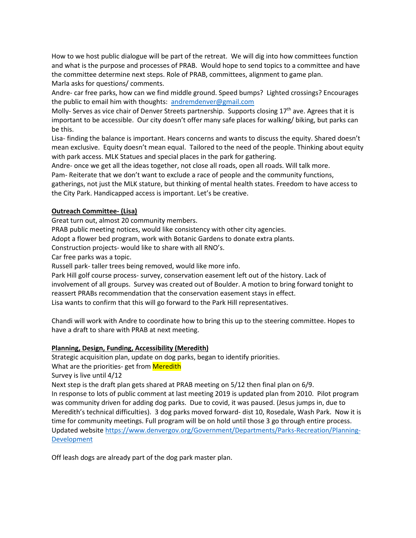How to we host public dialogue will be part of the retreat. We will dig into how committees function and what is the purpose and processes of PRAB. Would hope to send topics to a committee and have the committee determine next steps. Role of PRAB, committees, alignment to game plan. Marla asks for questions/ comments.

Andre- car free parks, how can we find middle ground. Speed bumps? Lighted crossings? Encourages the public to email him with thoughts: [andremdenver@gmail.com](mailto:andremdenver@gmail.com)

Molly- Serves as vice chair of Denver Streets partnership. Supports closing 17<sup>th</sup> ave. Agrees that it is important to be accessible. Our city doesn't offer many safe places for walking/ biking, but parks can be this.

Lisa- finding the balance is important. Hears concerns and wants to discuss the equity. Shared doesn't mean exclusive. Equity doesn't mean equal. Tailored to the need of the people. Thinking about equity with park access. MLK Statues and special places in the park for gathering.

Andre- once we get all the ideas together, not close all roads, open all roads. Will talk more.

Pam- Reiterate that we don't want to exclude a race of people and the community functions,

gatherings, not just the MLK stature, but thinking of mental health states. Freedom to have access to the City Park. Handicapped access is important. Let's be creative.

# **Outreach Committee- (Lisa)**

Great turn out, almost 20 community members.

PRAB public meeting notices, would like consistency with other city agencies.

Adopt a flower bed program, work with Botanic Gardens to donate extra plants.

Construction projects- would like to share with all RNO's.

Car free parks was a topic.

Russell park- taller trees being removed, would like more info.

Park Hill golf course process- survey, conservation easement left out of the history. Lack of involvement of all groups. Survey was created out of Boulder. A motion to bring forward tonight to reassert PRABs recommendation that the conservation easement stays in effect. Lisa wants to confirm that this will go forward to the Park Hill representatives.

Chandi will work with Andre to coordinate how to bring this up to the steering committee. Hopes to have a draft to share with PRAB at next meeting.

# **Planning, Design, Funding, Accessibility (Meredith)**

Strategic acquisition plan, update on dog parks, began to identify priorities.

What are the priorities- get from Meredith

Survey is live until 4/12

Next step is the draft plan gets shared at PRAB meeting on 5/12 then final plan on 6/9.

In response to lots of public comment at last meeting 2019 is updated plan from 2010. Pilot program was community driven for adding dog parks. Due to covid, it was paused. (Jesus jumps in, due to Meredith's technical difficulties). 3 dog parks moved forward- dist 10, Rosedale, Wash Park. Now it is time for community meetings. Full program will be on hold until those 3 go through entire process. Updated website [https://www.denvergov.org/Government/Departments/Parks-Recreation/Planning-](https://www.denvergov.org/Government/Departments/Parks-Recreation/Planning-Development)[Development](https://www.denvergov.org/Government/Departments/Parks-Recreation/Planning-Development)

Off leash dogs are already part of the dog park master plan.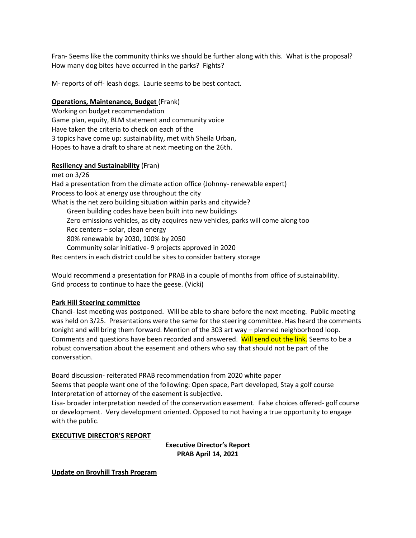Fran- Seems like the community thinks we should be further along with this. What is the proposal? How many dog bites have occurred in the parks? Fights?

M- reports of off- leash dogs. Laurie seems to be best contact.

## **Operations, Maintenance, Budget** (Frank)

Working on budget recommendation Game plan, equity, BLM statement and community voice Have taken the criteria to check on each of the 3 topics have come up: sustainability, met with Sheila Urban, Hopes to have a draft to share at next meeting on the 26th.

## **Resiliency and Sustainability** (Fran)

met on 3/26 Had a presentation from the climate action office (Johnny- renewable expert) Process to look at energy use throughout the city What is the net zero building situation within parks and citywide? Green building codes have been built into new buildings Zero emissions vehicles, as city acquires new vehicles, parks will come along too Rec centers – solar, clean energy 80% renewable by 2030, 100% by 2050 Community solar initiative- 9 projects approved in 2020 Rec centers in each district could be sites to consider battery storage

Would recommend a presentation for PRAB in a couple of months from office of sustainability. Grid process to continue to haze the geese. (Vicki)

## **Park Hill Steering committee**

Chandi- last meeting was postponed. Will be able to share before the next meeting. Public meeting was held on 3/25. Presentations were the same for the steering committee. Has heard the comments tonight and will bring them forward. Mention of the 303 art way – planned neighborhood loop. Comments and questions have been recorded and answered. Will send out the link. Seems to be a robust conversation about the easement and others who say that should not be part of the conversation.

Board discussion- reiterated PRAB recommendation from 2020 white paper Seems that people want one of the following: Open space, Part developed, Stay a golf course Interpretation of attorney of the easement is subjective.

Lisa- broader interpretation needed of the conservation easement. False choices offered- golf course or development. Very development oriented. Opposed to not having a true opportunity to engage with the public.

### **EXECUTIVE DIRECTOR'S REPORT**

**Executive Director's Report PRAB April 14, 2021**

**Update on Broyhill Trash Program**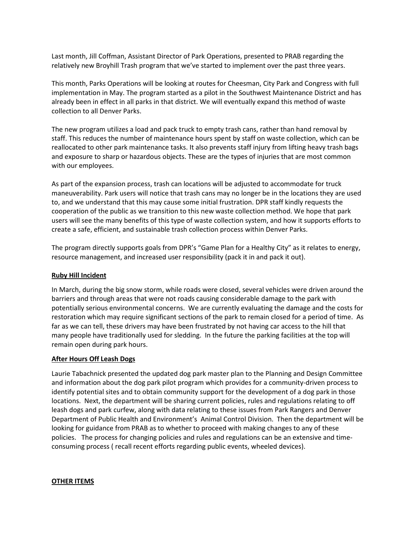Last month, Jill Coffman, Assistant Director of Park Operations, presented to PRAB regarding the relatively new Broyhill Trash program that we've started to implement over the past three years.

This month, Parks Operations will be looking at routes for Cheesman, City Park and Congress with full implementation in May. The program started as a pilot in the Southwest Maintenance District and has already been in effect in all parks in that district. We will eventually expand this method of waste collection to all Denver Parks.

The new program utilizes a load and pack truck to empty trash cans, rather than hand removal by staff. This reduces the number of maintenance hours spent by staff on waste collection, which can be reallocated to other park maintenance tasks. It also prevents staff injury from lifting heavy trash bags and exposure to sharp or hazardous objects. These are the types of injuries that are most common with our employees.

As part of the expansion process, trash can locations will be adjusted to accommodate for truck maneuverability. Park users will notice that trash cans may no longer be in the locations they are used to, and we understand that this may cause some initial frustration. DPR staff kindly requests the cooperation of the public as we transition to this new waste collection method. We hope that park users will see the many benefits of this type of waste collection system, and how it supports efforts to create a safe, efficient, and sustainable trash collection process within Denver Parks.

The program directly supports goals from DPR's "Game Plan for a Healthy City" as it relates to energy, resource management, and increased user responsibility (pack it in and pack it out).

## **Ruby Hill Incident**

In March, during the big snow storm, while roads were closed, several vehicles were driven around the barriers and through areas that were not roads causing considerable damage to the park with potentially serious environmental concerns. We are currently evaluating the damage and the costs for restoration which may require significant sections of the park to remain closed for a period of time. As far as we can tell, these drivers may have been frustrated by not having car access to the hill that many people have traditionally used for sledding. In the future the parking facilities at the top will remain open during park hours.

### **After Hours Off Leash Dogs**

Laurie Tabachnick presented the updated dog park master plan to the Planning and Design Committee and information about the dog park pilot program which provides for a community-driven process to identify potential sites and to obtain community support for the development of a dog park in those locations. Next, the department will be sharing current policies, rules and regulations relating to off leash dogs and park curfew, along with data relating to these issues from Park Rangers and Denver Department of Public Health and Environment's Animal Control Division. Then the department will be looking for guidance from PRAB as to whether to proceed with making changes to any of these policies. The process for changing policies and rules and regulations can be an extensive and timeconsuming process ( recall recent efforts regarding public events, wheeled devices).

### **OTHER ITEMS**